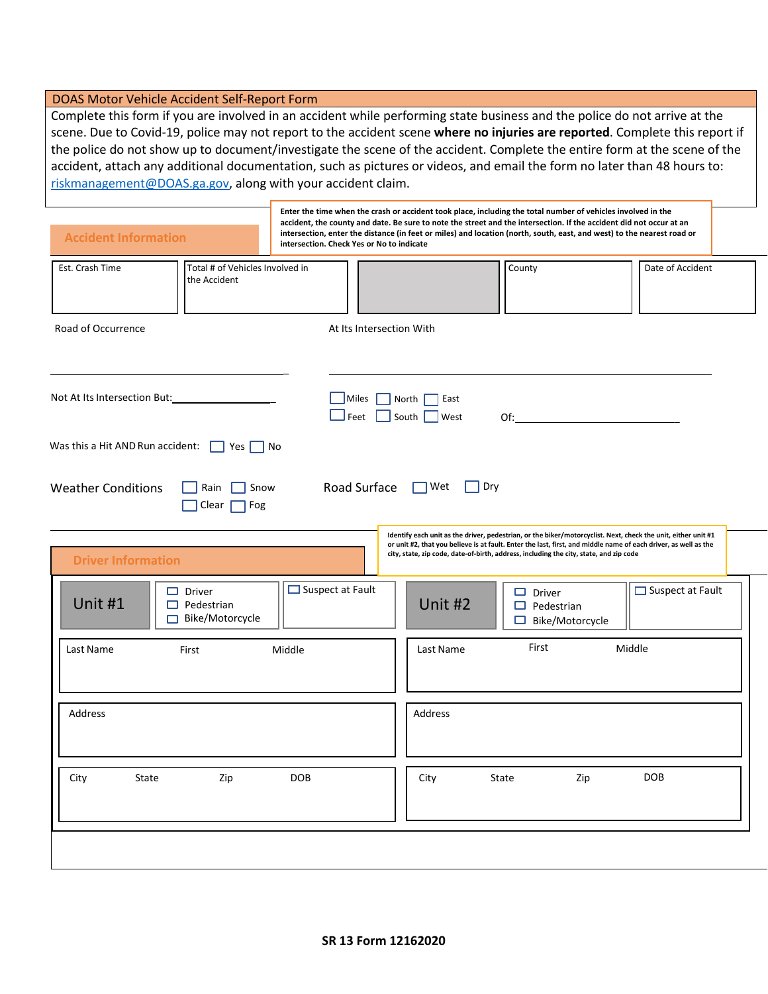## DOAS Motor Vehicle Accident Self-Report Form

Complete this form if you are involved in an accident while performing state business and the police do not arrive at the scene. Due to Covid-19, police may not report to the accident scene **where no injuries are reported**. Complete this report if the police do not show up to document/investigate the scene of the accident. Complete the entire form at the scene of the accident, attach any additional documentation, such as pictures or videos, and email the form no later than 48 hours to: [riskmanagement@DOAS.ga.gov,](mailto:riskmanagement@DOAS.ga.gov) along with your accident claim.

| <b>Accident Information</b><br>intersection. Check Yes or No to indicate |                          | Enter the time when the crash or accident took place, including the total number of vehicles involved in the<br>accident, the county and date. Be sure to note the street and the intersection. If the accident did not occur at an<br>intersection, enter the distance (in feet or miles) and location (north, south, east, and west) to the nearest road or |                                                                                                                                                                                                                                                                                                                            |                         |  |  |
|--------------------------------------------------------------------------|--------------------------|---------------------------------------------------------------------------------------------------------------------------------------------------------------------------------------------------------------------------------------------------------------------------------------------------------------------------------------------------------------|----------------------------------------------------------------------------------------------------------------------------------------------------------------------------------------------------------------------------------------------------------------------------------------------------------------------------|-------------------------|--|--|
| Est. Crash Time<br>Total # of Vehicles Involved in<br>the Accident       |                          |                                                                                                                                                                                                                                                                                                                                                               | County                                                                                                                                                                                                                                                                                                                     | Date of Accident        |  |  |
| Road of Occurrence                                                       | At Its Intersection With |                                                                                                                                                                                                                                                                                                                                                               |                                                                                                                                                                                                                                                                                                                            |                         |  |  |
|                                                                          | Miles<br>Feet            | North $\sqrt{ }$<br><b>East</b><br>South  <br><b>West</b>                                                                                                                                                                                                                                                                                                     | $\mathsf{Of:}\n$                                                                                                                                                                                                                                                                                                           |                         |  |  |
| Was this a Hit AND Run accident: $\Box$ Yes $\Box$ No                    |                          |                                                                                                                                                                                                                                                                                                                                                               |                                                                                                                                                                                                                                                                                                                            |                         |  |  |
| <b>Weather Conditions</b><br>Rain<br>Snow<br>Clear<br>Fog                | Road Surface □ Wet       |                                                                                                                                                                                                                                                                                                                                                               | Dry                                                                                                                                                                                                                                                                                                                        |                         |  |  |
| <b>Driver Information</b>                                                |                          |                                                                                                                                                                                                                                                                                                                                                               | Identify each unit as the driver, pedestrian, or the biker/motorcyclist. Next, check the unit, either unit #1<br>or unit #2, that you believe is at fault. Enter the last, first, and middle name of each driver, as well as the<br>city, state, zip code, date-of-birth, address, including the city, state, and zip code |                         |  |  |
| $\Box$ Driver<br>Unit #1<br>$\Box$ Pedestrian<br>$\Box$ Bike/Motorcycle  | $\Box$ Suspect at Fault  | Unit #2                                                                                                                                                                                                                                                                                                                                                       | $\Box$ Driver<br>$\Box$ Pedestrian<br>□ Bike/Motorcycle                                                                                                                                                                                                                                                                    | $\Box$ Suspect at Fault |  |  |
| Middle<br>Last Name<br>First                                             |                          | First<br>Middle<br>Last Name                                                                                                                                                                                                                                                                                                                                  |                                                                                                                                                                                                                                                                                                                            |                         |  |  |
| Address                                                                  | Address                  |                                                                                                                                                                                                                                                                                                                                                               |                                                                                                                                                                                                                                                                                                                            |                         |  |  |
| City<br>State<br>Zip                                                     | <b>DOB</b>               | City                                                                                                                                                                                                                                                                                                                                                          | State<br>Zip                                                                                                                                                                                                                                                                                                               | <b>DOB</b>              |  |  |
|                                                                          |                          |                                                                                                                                                                                                                                                                                                                                                               |                                                                                                                                                                                                                                                                                                                            |                         |  |  |